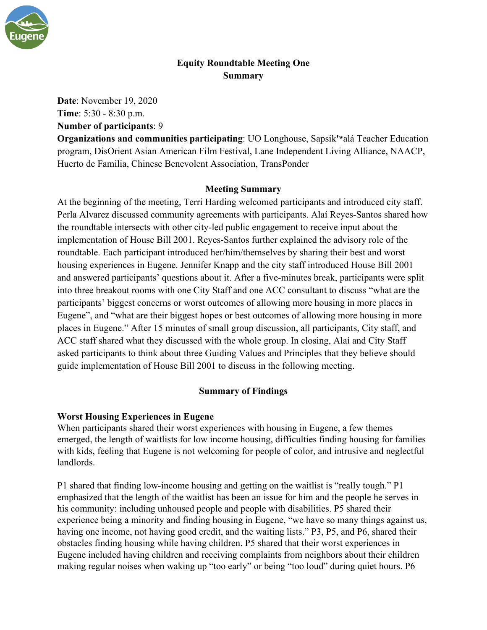

# **Equity Roundtable Meeting One Summary**

**Date**: November 19, 2020 **Time**: 5:30 - 8:30 p.m.

**Number of participants**: 9

**Organizations and communities participating**: UO Longhouse, Sapsik**'ʷ**alá Teacher Education program, DisOrient Asian American Film Festival, Lane Independent Living Alliance, NAACP, Huerto de Familia, Chinese Benevolent Association, TransPonder

### **Meeting Summary**

At the beginning of the meeting, Terri Harding welcomed participants and introduced city staff. Perla Alvarez discussed community agreements with participants. Alaí Reyes-Santos shared how the roundtable intersects with other city-led public engagement to receive input about the implementation of House Bill 2001. Reyes-Santos further explained the advisory role of the roundtable. Each participant introduced her/him/themselves by sharing their best and worst housing experiences in Eugene. Jennifer Knapp and the city staff introduced House Bill 2001 and answered participants' questions about it. After a five-minutes break, participants were split into three breakout rooms with one City Staff and one ACC consultant to discuss "what are the participants' biggest concerns or worst outcomes of allowing more housing in more places in Eugene", and "what are their biggest hopes or best outcomes of allowing more housing in more places in Eugene." After 15 minutes of small group discussion, all participants, City staff, and ACC staff shared what they discussed with the whole group. In closing, Alaí and City Staff asked participants to think about three Guiding Values and Principles that they believe should guide implementation of House Bill 2001 to discuss in the following meeting.

### **Summary of Findings**

### **Worst Housing Experiences in Eugene**

When participants shared their worst experiences with housing in Eugene, a few themes emerged, the length of waitlists for low income housing, difficulties finding housing for families with kids, feeling that Eugene is not welcoming for people of color, and intrusive and neglectful landlords.

P1 shared that finding low-income housing and getting on the waitlist is "really tough." P1 emphasized that the length of the waitlist has been an issue for him and the people he serves in his community: including unhoused people and people with disabilities. P5 shared their experience being a minority and finding housing in Eugene, "we have so many things against us, having one income, not having good credit, and the waiting lists." P3, P5, and P6, shared their obstacles finding housing while having children. P5 shared that their worst experiences in Eugene included having children and receiving complaints from neighbors about their children making regular noises when waking up "too early" or being "too loud" during quiet hours. P6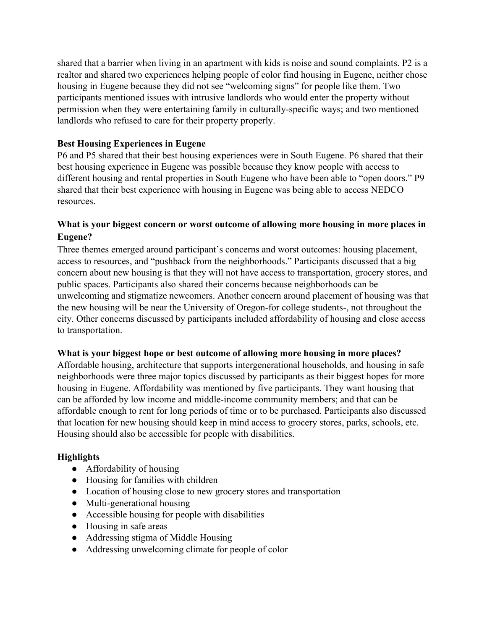shared that a barrier when living in an apartment with kids is noise and sound complaints. P2 is a realtor and shared two experiences helping people of color find housing in Eugene, neither chose housing in Eugene because they did not see "welcoming signs" for people like them. Two participants mentioned issues with intrusive landlords who would enter the property without permission when they were entertaining family in culturally-specific ways; and two mentioned landlords who refused to care for their property properly.

### **Best Housing Experiences in Eugene**

P6 and P5 shared that their best housing experiences were in South Eugene. P6 shared that their best housing experience in Eugene was possible because they know people with access to different housing and rental properties in South Eugene who have been able to "open doors." P9 shared that their best experience with housing in Eugene was being able to access NEDCO resources.

## **What is your biggest concern or worst outcome of allowing more housing in more places in Eugene?**

Three themes emerged around participant's concerns and worst outcomes: housing placement, access to resources, and "pushback from the neighborhoods." Participants discussed that a big concern about new housing is that they will not have access to transportation, grocery stores, and public spaces. Participants also shared their concerns because neighborhoods can be unwelcoming and stigmatize newcomers. Another concern around placement of housing was that the new housing will be near the University of Oregon-for college students-, not throughout the city. Other concerns discussed by participants included affordability of housing and close access to transportation.

### **What is your biggest hope or best outcome of allowing more housing in more places?**

Affordable housing, architecture that supports intergenerational households, and housing in safe neighborhoods were three major topics discussed by participants as their biggest hopes for more housing in Eugene. Affordability was mentioned by five participants. They want housing that can be afforded by low income and middle-income community members; and that can be affordable enough to rent for long periods of time or to be purchased. Participants also discussed that location for new housing should keep in mind access to grocery stores, parks, schools, etc. Housing should also be accessible for people with disabilities.

# **Highlights**

- Affordability of housing
- Housing for families with children
- Location of housing close to new grocery stores and transportation
- Multi-generational housing
- Accessible housing for people with disabilities
- Housing in safe areas
- Addressing stigma of Middle Housing
- Addressing unwelcoming climate for people of color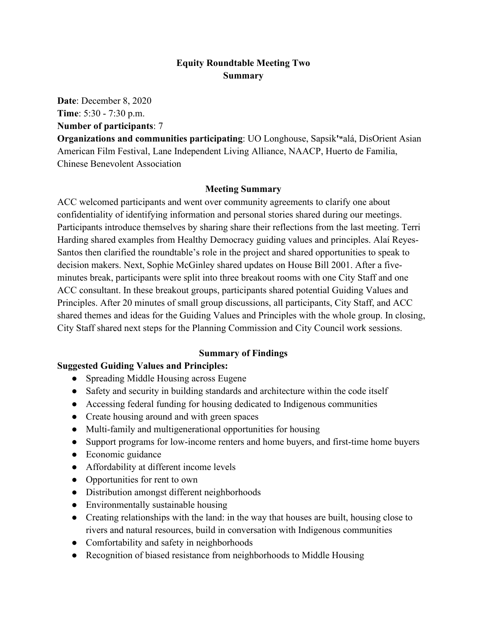### **Equity Roundtable Meeting Two Summary**

**Date**: December 8, 2020

**Time**: 5:30 - 7:30 p.m.

**Number of participants**: 7

**Organizations and communities participating**: UO Longhouse, Sapsik**'ʷ**alá, DisOrient Asian American Film Festival, Lane Independent Living Alliance, NAACP, Huerto de Familia, Chinese Benevolent Association

### **Meeting Summary**

ACC welcomed participants and went over community agreements to clarify one about confidentiality of identifying information and personal stories shared during our meetings. Participants introduce themselves by sharing share their reflections from the last meeting. Terri Harding shared examples from Healthy Democracy guiding values and principles. Alaí Reyes-Santos then clarified the roundtable's role in the project and shared opportunities to speak to decision makers. Next, Sophie McGinley shared updates on House Bill 2001. After a fiveminutes break, participants were split into three breakout rooms with one City Staff and one ACC consultant. In these breakout groups, participants shared potential Guiding Values and Principles. After 20 minutes of small group discussions, all participants, City Staff, and ACC shared themes and ideas for the Guiding Values and Principles with the whole group. In closing, City Staff shared next steps for the Planning Commission and City Council work sessions.

### **Summary of Findings**

# **Suggested Guiding Values and Principles:**

- Spreading Middle Housing across Eugene
- Safety and security in building standards and architecture within the code itself
- Accessing federal funding for housing dedicated to Indigenous communities
- Create housing around and with green spaces
- Multi-family and multigenerational opportunities for housing
- Support programs for low-income renters and home buyers, and first-time home buyers
- Economic guidance
- Affordability at different income levels
- Opportunities for rent to own
- Distribution amongst different neighborhoods
- Environmentally sustainable housing
- Creating relationships with the land: in the way that houses are built, housing close to rivers and natural resources, build in conversation with Indigenous communities
- Comfortability and safety in neighborhoods
- Recognition of biased resistance from neighborhoods to Middle Housing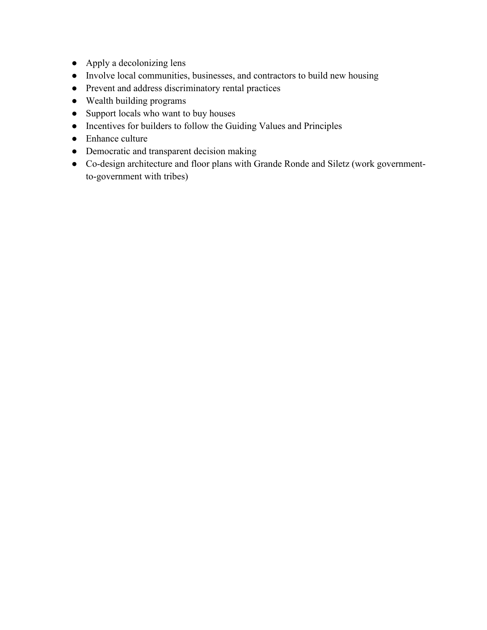- Apply a decolonizing lens
- Involve local communities, businesses, and contractors to build new housing
- Prevent and address discriminatory rental practices
- Wealth building programs
- Support locals who want to buy houses
- Incentives for builders to follow the Guiding Values and Principles
- Enhance culture
- Democratic and transparent decision making
- Co-design architecture and floor plans with Grande Ronde and Siletz (work governmentto-government with tribes)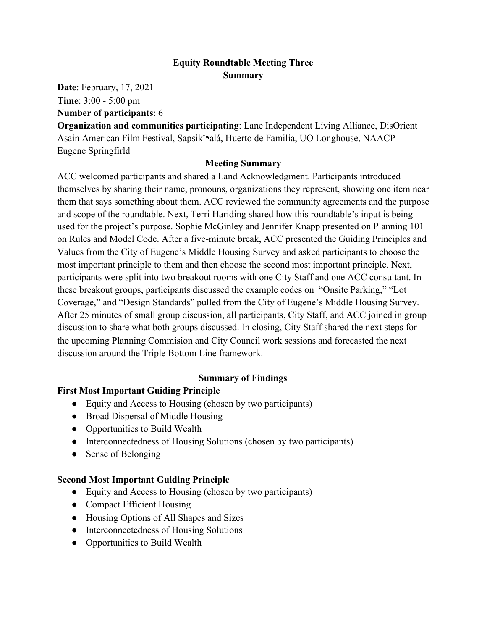# **Equity Roundtable Meeting Three Summary**

**Date**: February, 17, 2021 **Time**: 3:00 - 5:00 pm **Number of participants**: 6

**Organization and communities participating**: Lane Independent Living Alliance, DisOrient Asain American Film Festival, Sapsik**'**ʷalá, Huerto de Familia, UO Longhouse, NAACP - Eugene Springfirld

### **Meeting Summary**

ACC welcomed participants and shared a Land Acknowledgment. Participants introduced themselves by sharing their name, pronouns, organizations they represent, showing one item near them that says something about them. ACC reviewed the community agreements and the purpose and scope of the roundtable. Next, Terri Hariding shared how this roundtable's input is being used for the project's purpose. Sophie McGinley and Jennifer Knapp presented on Planning 101 on Rules and Model Code. After a five-minute break, ACC presented the Guiding Principles and Values from the City of Eugene's Middle Housing Survey and asked participants to choose the most important principle to them and then choose the second most important principle. Next, participants were split into two breakout rooms with one City Staff and one ACC consultant. In these breakout groups, participants discussed the example codes on "Onsite Parking," "Lot Coverage," and "Design Standards" pulled from the City of Eugene's Middle Housing Survey. After 25 minutes of small group discussion, all participants, City Staff, and ACC joined in group discussion to share what both groups discussed. In closing, City Staff shared the next steps for the upcoming Planning Commision and City Council work sessions and forecasted the next discussion around the Triple Bottom Line framework.

### **Summary of Findings**

# **First Most Important Guiding Principle**

- Equity and Access to Housing (chosen by two participants)
- Broad Dispersal of Middle Housing
- Opportunities to Build Wealth
- Interconnectedness of Housing Solutions (chosen by two participants)
- Sense of Belonging

### **Second Most Important Guiding Principle**

- Equity and Access to Housing (chosen by two participants)
- Compact Efficient Housing
- Housing Options of All Shapes and Sizes
- Interconnectedness of Housing Solutions
- Opportunities to Build Wealth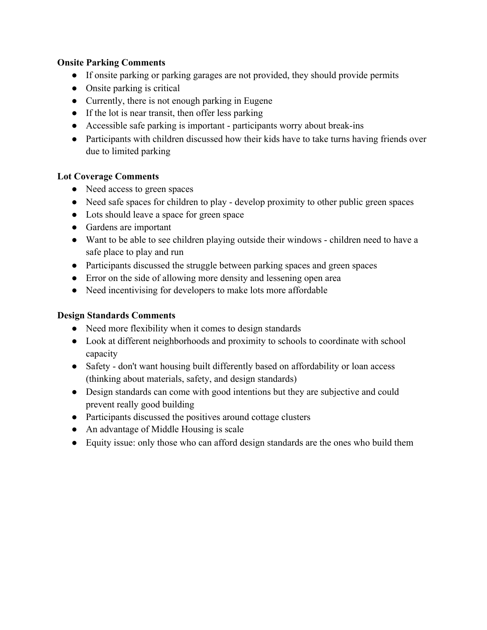### **Onsite Parking Comments**

- If onsite parking or parking garages are not provided, they should provide permits
- Onsite parking is critical
- Currently, there is not enough parking in Eugene
- If the lot is near transit, then offer less parking
- Accessible safe parking is important participants worry about break-ins
- Participants with children discussed how their kids have to take turns having friends over due to limited parking

### **Lot Coverage Comments**

- Need access to green spaces
- Need safe spaces for children to play develop proximity to other public green spaces
- Lots should leave a space for green space
- Gardens are important
- Want to be able to see children playing outside their windows children need to have a safe place to play and run
- Participants discussed the struggle between parking spaces and green spaces
- Error on the side of allowing more density and lessening open area
- Need incentivising for developers to make lots more affordable

## **Design Standards Comments**

- Need more flexibility when it comes to design standards
- Look at different neighborhoods and proximity to schools to coordinate with school capacity
- Safety don't want housing built differently based on affordability or loan access (thinking about materials, safety, and design standards)
- Design standards can come with good intentions but they are subjective and could prevent really good building
- Participants discussed the positives around cottage clusters
- An advantage of Middle Housing is scale
- Equity issue: only those who can afford design standards are the ones who build them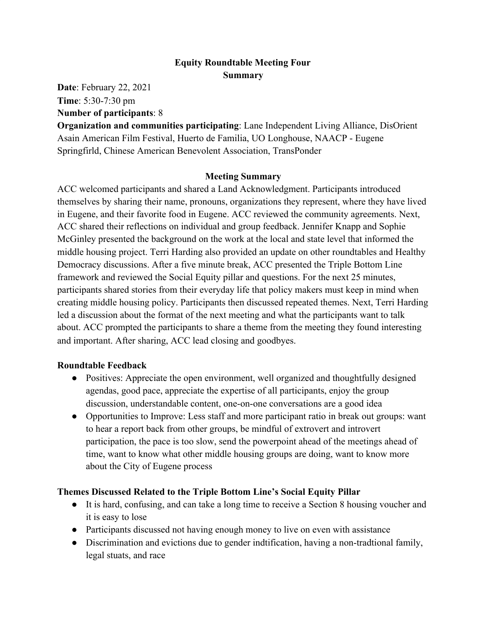# **Equity Roundtable Meeting Four Summary**

**Date**: February 22, 2021 **Time**: 5:30-7:30 pm

### **Number of participants**: 8

**Organization and communities participating**: Lane Independent Living Alliance, DisOrient Asain American Film Festival, Huerto de Familia, UO Longhouse, NAACP - Eugene Springfirld, Chinese American Benevolent Association, TransPonder

### **Meeting Summary**

ACC welcomed participants and shared a Land Acknowledgment. Participants introduced themselves by sharing their name, pronouns, organizations they represent, where they have lived in Eugene, and their favorite food in Eugene. ACC reviewed the community agreements. Next, ACC shared their reflections on individual and group feedback. Jennifer Knapp and Sophie McGinley presented the background on the work at the local and state level that informed the middle housing project. Terri Harding also provided an update on other roundtables and Healthy Democracy discussions. After a five minute break, ACC presented the Triple Bottom Line framework and reviewed the Social Equity pillar and questions. For the next 25 minutes, participants shared stories from their everyday life that policy makers must keep in mind when creating middle housing policy. Participants then discussed repeated themes. Next, Terri Harding led a discussion about the format of the next meeting and what the participants want to talk about. ACC prompted the participants to share a theme from the meeting they found interesting and important. After sharing, ACC lead closing and goodbyes.

### **Roundtable Feedback**

- Positives: Appreciate the open environment, well organized and thoughtfully designed agendas, good pace, appreciate the expertise of all participants, enjoy the group discussion, understandable content, one-on-one conversations are a good idea
- Opportunities to Improve: Less staff and more participant ratio in break out groups: want to hear a report back from other groups, be mindful of extrovert and introvert participation, the pace is too slow, send the powerpoint ahead of the meetings ahead of time, want to know what other middle housing groups are doing, want to know more about the City of Eugene process

### **Themes Discussed Related to the Triple Bottom Line's Social Equity Pillar**

- It is hard, confusing, and can take a long time to receive a Section 8 housing voucher and it is easy to lose
- Participants discussed not having enough money to live on even with assistance
- Discrimination and evictions due to gender indtification, having a non-tradtional family, legal stuats, and race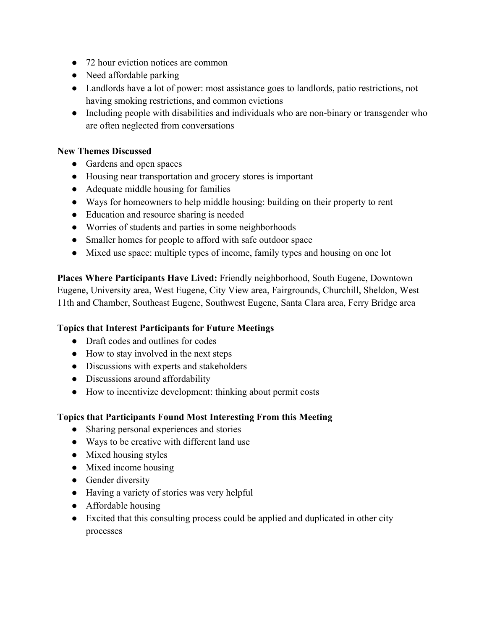- 72 hour eviction notices are common
- Need affordable parking
- Landlords have a lot of power: most assistance goes to landlords, patio restrictions, not having smoking restrictions, and common evictions
- Including people with disabilities and individuals who are non-binary or transgender who are often neglected from conversations

#### **New Themes Discussed**

- Gardens and open spaces
- Housing near transportation and grocery stores is important
- Adequate middle housing for families
- Ways for homeowners to help middle housing: building on their property to rent
- Education and resource sharing is needed
- Worries of students and parties in some neighborhoods
- Smaller homes for people to afford with safe outdoor space
- Mixed use space: multiple types of income, family types and housing on one lot

**Places Where Participants Have Lived:** Friendly neighborhood, South Eugene, Downtown Eugene, University area, West Eugene, City View area, Fairgrounds, Churchill, Sheldon, West 11th and Chamber, Southeast Eugene, Southwest Eugene, Santa Clara area, Ferry Bridge area

### **Topics that Interest Participants for Future Meetings**

- Draft codes and outlines for codes
- How to stay involved in the next steps
- Discussions with experts and stakeholders
- Discussions around affordability
- How to incentivize development: thinking about permit costs

### **Topics that Participants Found Most Interesting From this Meeting**

- Sharing personal experiences and stories
- Ways to be creative with different land use
- Mixed housing styles
- Mixed income housing
- Gender diversity
- Having a variety of stories was very helpful
- Affordable housing
- Excited that this consulting process could be applied and duplicated in other city processes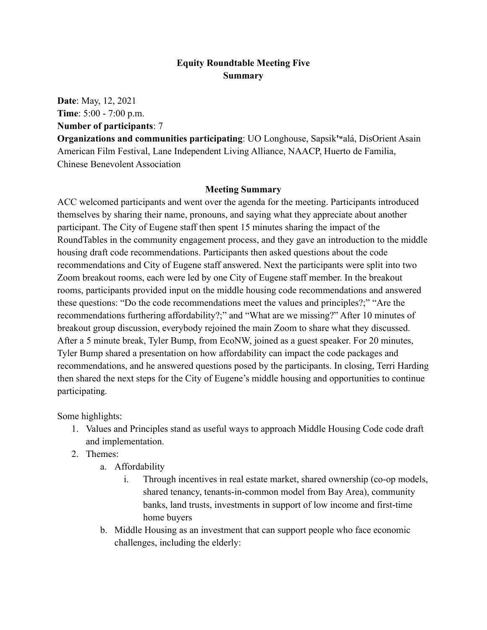## **Equity Roundtable Meeting Five Summary**

**Date**: May, 12, 2021 **Time**: 5:00 - 7:00 p.m. **Number of participants**: 7

**Organizations and communities participating**: UO Longhouse, Sapsik**'ʷ**alá, DisOrient Asain American Film Festival, Lane Independent Living Alliance, NAACP, Huerto de Familia, Chinese Benevolent Association

#### **Meeting Summary**

ACC welcomed participants and went over the agenda for the meeting. Participants introduced themselves by sharing their name, pronouns, and saying what they appreciate about another participant. The City of Eugene staff then spent 15 minutes sharing the impact of the RoundTables in the community engagement process, and they gave an introduction to the middle housing draft code recommendations. Participants then asked questions about the code recommendations and City of Eugene staff answered. Next the participants were split into two Zoom breakout rooms, each were led by one City of Eugene staff member. In the breakout rooms, participants provided input on the middle housing code recommendations and answered these questions: "Do the code recommendations meet the values and principles?;" "Are the recommendations furthering affordability?;" and "What are we missing?" After 10 minutes of breakout group discussion, everybody rejoined the main Zoom to share what they discussed. After a 5 minute break, Tyler Bump, from EcoNW, joined as a guest speaker. For 20 minutes, Tyler Bump shared a presentation on how affordability can impact the code packages and recommendations, and he answered questions posed by the participants. In closing, Terri Harding then shared the next steps for the City of Eugene's middle housing and opportunities to continue participating.

Some highlights:

- 1. Values and Principles stand as useful ways to approach Middle Housing Code code draft and implementation.
- 2. Themes:
	- a. Affordability
		- i. Through incentives in real estate market, shared ownership (co-op models, shared tenancy, tenants-in-common model from Bay Area), community banks, land trusts, investments in support of low income and first-time home buyers
	- b. Middle Housing as an investment that can support people who face economic challenges, including the elderly: